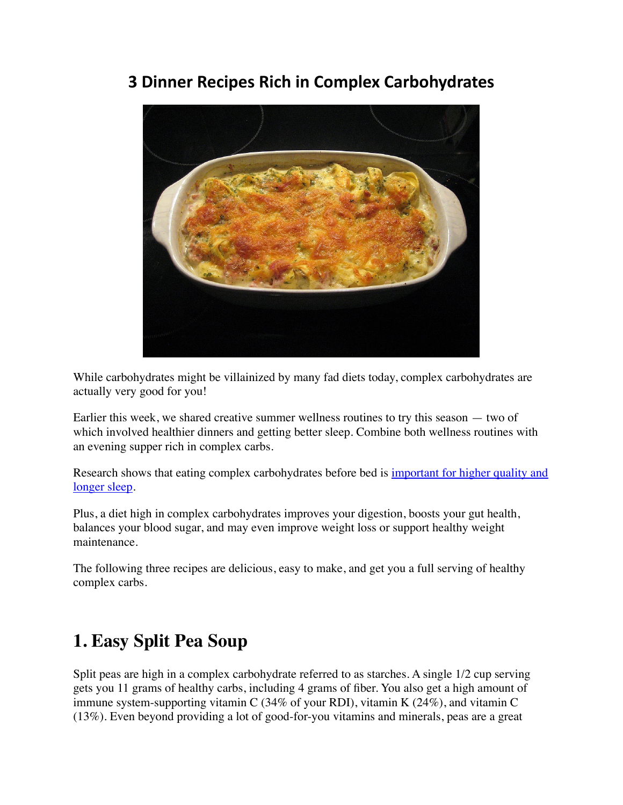### **3 Dinner Recipes Rich in Complex Carbohydrates**



While carbohydrates might be villainized by many fad diets today, complex carbohydrates are actually very good for you!

Earlier this week, we shared creative summer wellness routines to try this season — two of which involved healthier dinners and getting better sleep. Combine both wellness routines with an evening supper rich in complex carbs.

Research shows that eating complex carbohydrates before bed is [important for higher quality and](https://www.nm.org/healthbeat/healthy-tips/nutrition/eats-to-help-you-sleep)  [longer sleep](https://www.nm.org/healthbeat/healthy-tips/nutrition/eats-to-help-you-sleep).

Plus, a diet high in complex carbohydrates improves your digestion, boosts your gut health, balances your blood sugar, and may even improve weight loss or support healthy weight maintenance.

The following three recipes are delicious, easy to make, and get you a full serving of healthy complex carbs.

## **1. Easy Split Pea Soup**

Split peas are high in a complex carbohydrate referred to as starches. A single 1/2 cup serving gets you 11 grams of healthy carbs, including 4 grams of fiber. You also get a high amount of immune system-supporting vitamin C (34% of your RDI), vitamin K (24%), and vitamin C (13%). Even beyond providing a lot of good-for-you vitamins and minerals, peas are a great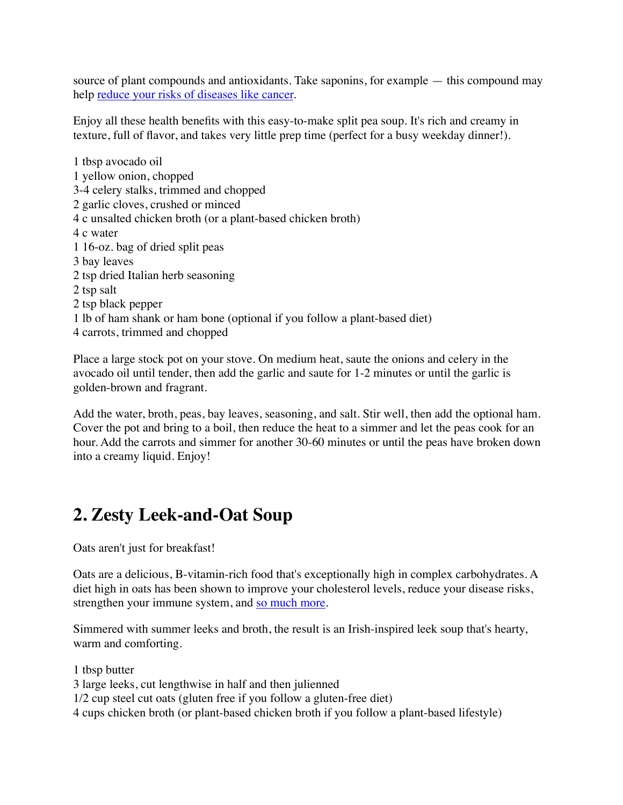source of plant compounds and antioxidants. Take saponins, for example — this compound may help [reduce your risks of diseases like cancer.](https://pubmed.ncbi.nlm.nih.gov/19116873/)

Enjoy all these health benefits with this easy-to-make split pea soup. It's rich and creamy in texture, full of flavor, and takes very little prep time (perfect for a busy weekday dinner!).

1 tbsp avocado oil 1 yellow onion, chopped 3-4 celery stalks, trimmed and chopped 2 garlic cloves, crushed or minced 4 c unsalted chicken broth (or a plant-based chicken broth) 4 c water 1 16-oz. bag of dried split peas 3 bay leaves 2 tsp dried Italian herb seasoning 2 tsp salt 2 tsp black pepper 1 lb of ham shank or ham bone (optional if you follow a plant-based diet) 4 carrots, trimmed and chopped

Place a large stock pot on your stove. On medium heat, saute the onions and celery in the avocado oil until tender, then add the garlic and saute for 1-2 minutes or until the garlic is golden-brown and fragrant.

Add the water, broth, peas, bay leaves, seasoning, and salt. Stir well, then add the optional ham. Cover the pot and bring to a boil, then reduce the heat to a simmer and let the peas cook for an hour. Add the carrots and simmer for another 30-60 minutes or until the peas have broken down into a creamy liquid. Enjoy!

# **2. Zesty Leek-and-Oat Soup**

Oats aren't just for breakfast!

Oats are a delicious, B-vitamin-rich food that's exceptionally high in complex carbohydrates. A diet high in oats has been shown to improve your cholesterol levels, reduce your disease risks, strengthen your immune system, and [so much more.](https://www.healthline.com/nutrition/9-benefits-oats-oatmeal#1.-Oats-are-incredibly-nutritious)

Simmered with summer leeks and broth, the result is an Irish-inspired leek soup that's hearty, warm and comforting.

1 tbsp butter 3 large leeks, cut lengthwise in half and then julienned 1/2 cup steel cut oats (gluten free if you follow a gluten-free diet) 4 cups chicken broth (or plant-based chicken broth if you follow a plant-based lifestyle)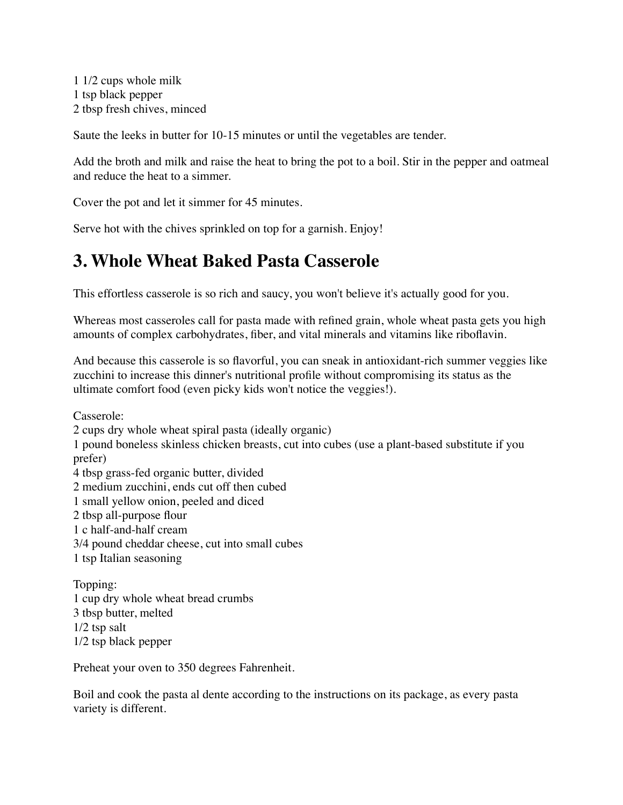1 1/2 cups whole milk 1 tsp black pepper 2 tbsp fresh chives, minced

Saute the leeks in butter for 10-15 minutes or until the vegetables are tender.

Add the broth and milk and raise the heat to bring the pot to a boil. Stir in the pepper and oatmeal and reduce the heat to a simmer.

Cover the pot and let it simmer for 45 minutes.

Serve hot with the chives sprinkled on top for a garnish. Enjoy!

#### **3. Whole Wheat Baked Pasta Casserole**

This effortless casserole is so rich and saucy, you won't believe it's actually good for you.

Whereas most casseroles call for pasta made with refined grain, whole wheat pasta gets you high amounts of complex carbohydrates, fiber, and vital minerals and vitamins like riboflavin.

And because this casserole is so flavorful, you can sneak in antioxidant-rich summer veggies like zucchini to increase this dinner's nutritional profile without compromising its status as the ultimate comfort food (even picky kids won't notice the veggies!).

Casserole: 2 cups dry whole wheat spiral pasta (ideally organic) 1 pound boneless skinless chicken breasts, cut into cubes (use a plant-based substitute if you prefer) 4 tbsp grass-fed organic butter, divided 2 medium zucchini, ends cut off then cubed 1 small yellow onion, peeled and diced 2 tbsp all-purpose flour 1 c half-and-half cream 3/4 pound cheddar cheese, cut into small cubes 1 tsp Italian seasoning Topping:

1 cup dry whole wheat bread crumbs 3 tbsp butter, melted 1/2 tsp salt 1/2 tsp black pepper

Preheat your oven to 350 degrees Fahrenheit.

Boil and cook the pasta al dente according to the instructions on its package, as every pasta variety is different.